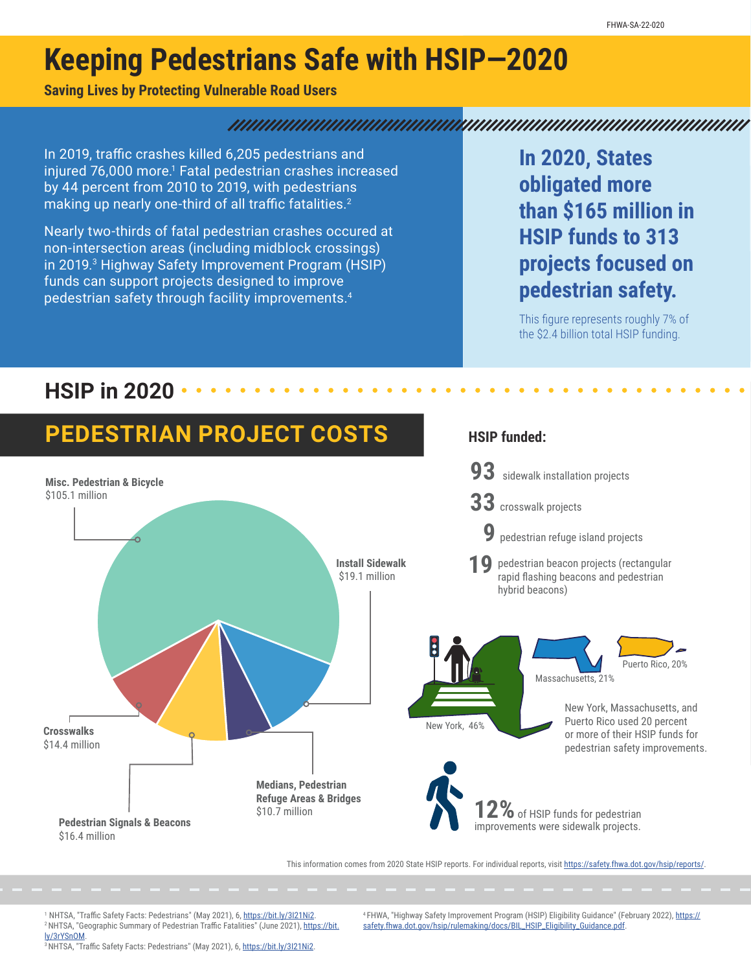# **Keeping Pedestrians Safe with HSIP—2020**

### **Saving Lives by Protecting Vulnerable Road Users**

#### 

In 2019, traffic crashes killed 6,205 pedestrians and injured 76,000 more.<sup>1</sup> Fatal pedestrian crashes increased by 44 percent from 2010 to 2019, with pedestrians making up nearly one-third of all traffic fatalities.<sup>2</sup>

Nearly two-thirds of fatal pedestrian crashes occured at non-intersection areas (including midblock crossings) in 2019.<sup>3</sup> Highway Safety Improvement Program (HSIP) funds can support projects designed to improve pedestrian safety through facility improvements.4

**In 2020, States obligated more than \$165 million in HSIP funds to 313 projects focused on pedestrian safety.**

This figure represents roughly 7% of the \$2.4 billion total HSIP funding.

### **HSIP in 2020**



<sup>1</sup> NHTSA, "Traffic Safety Facts: Pedestrians" (May 2021), 6, https://bit.ly/3l21Ni2. <sup>2</sup> NHTSA, "Geographic Summary of Pedestrian Traffic Fatalities" (June 2021), [https://bit.](https://bit.ly/3rYSnOM) [ly/3rYSnOM](https://bit.ly/3rYSnOM).

4 FHWA, "Highway Safety Improvement Program (HSIP) Eligibility Guidance" (February 2022), [https://](https://safety.fhwa.dot.gov/hsip/rulemaking/docs/BIL_HSIP_Eligibility_Guidance.pdf) [safety.fhwa.dot.gov/hsip/rulemaking/docs/BIL\\_HSIP\\_Eligibility\\_Guidance.pdf.](https://safety.fhwa.dot.gov/hsip/rulemaking/docs/BIL_HSIP_Eligibility_Guidance.pdf)

<sup>3</sup>NHTSA, "Traffic Safety Facts: Pedestrians" (May 2021), 6, [https://bit.ly/3I21Ni2.](https://bit.ly/3I21Ni2)